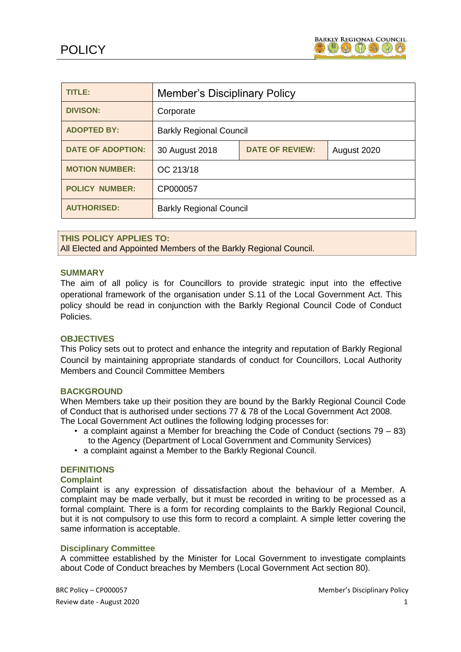

| <b>TITLE:</b>            | <b>Member's Disciplinary Policy</b> |                        |             |
|--------------------------|-------------------------------------|------------------------|-------------|
| <b>DIVISON:</b>          | Corporate                           |                        |             |
| <b>ADOPTED BY:</b>       | <b>Barkly Regional Council</b>      |                        |             |
| <b>DATE OF ADOPTION:</b> | 30 August 2018                      | <b>DATE OF REVIEW:</b> | August 2020 |
| <b>MOTION NUMBER:</b>    | OC 213/18                           |                        |             |
| <b>POLICY NUMBER:</b>    | CP000057                            |                        |             |
| <b>AUTHORISED:</b>       | <b>Barkly Regional Council</b>      |                        |             |

#### **THIS POLICY APPLIES TO:**

All Elected and Appointed Members of the Barkly Regional Council.

#### **SUMMARY**

The aim of all policy is for Councillors to provide strategic input into the effective operational framework of the organisation under S.11 of the Local Government Act. This policy should be read in conjunction with the Barkly Regional Council Code of Conduct Policies.

#### **OBJECTIVES**

This Policy sets out to protect and enhance the integrity and reputation of Barkly Regional Council by maintaining appropriate standards of conduct for Councillors, Local Authority Members and Council Committee Members

#### **BACKGROUND**

When Members take up their position they are bound by the Barkly Regional Council Code of Conduct that is authorised under sections 77 & 78 of the Local Government Act 2008. The Local Government Act outlines the following lodging processes for:

- a complaint against a Member for breaching the Code of Conduct (sections 79 83) to the Agency (Department of Local Government and Community Services)
- a complaint against a Member to the Barkly Regional Council.

## **DEFINITIONS**

## **Complaint**

Complaint is any expression of dissatisfaction about the behaviour of a Member. A complaint may be made verbally, but it must be recorded in writing to be processed as a formal complaint. There is a form for recording complaints to the Barkly Regional Council, but it is not compulsory to use this form to record a complaint. A simple letter covering the same information is acceptable.

#### **Disciplinary Committee**

A committee established by the Minister for Local Government to investigate complaints about Code of Conduct breaches by Members (Local Government Act section 80).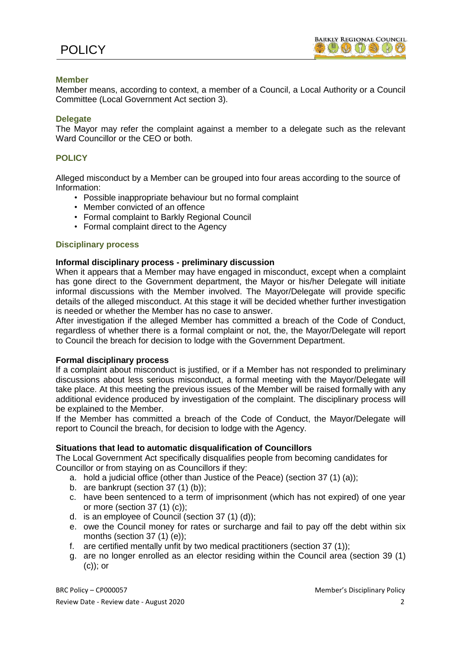## **Member**

Member means, according to context, a member of a Council, a Local Authority or a Council Committee (Local Government Act section 3).

#### **Delegate**

The Mayor may refer the complaint against a member to a delegate such as the relevant Ward Councillor or the CEO or both.

## **POLICY**

Alleged misconduct by a Member can be grouped into four areas according to the source of Information:

- Possible inappropriate behaviour but no formal complaint
- Member convicted of an offence
- Formal complaint to Barkly Regional Council
- Formal complaint direct to the Agency

#### **Disciplinary process**

#### **Informal disciplinary process - preliminary discussion**

When it appears that a Member may have engaged in misconduct, except when a complaint has gone direct to the Government department, the Mayor or his/her Delegate will initiate informal discussions with the Member involved. The Mayor/Delegate will provide specific details of the alleged misconduct. At this stage it will be decided whether further investigation is needed or whether the Member has no case to answer.

After investigation if the alleged Member has committed a breach of the Code of Conduct, regardless of whether there is a formal complaint or not, the, the Mayor/Delegate will report to Council the breach for decision to lodge with the Government Department.

#### **Formal disciplinary process**

If a complaint about misconduct is justified, or if a Member has not responded to preliminary discussions about less serious misconduct, a formal meeting with the Mayor/Delegate will take place. At this meeting the previous issues of the Member will be raised formally with any additional evidence produced by investigation of the complaint. The disciplinary process will be explained to the Member.

If the Member has committed a breach of the Code of Conduct, the Mayor/Delegate will report to Council the breach, for decision to lodge with the Agency.

#### **Situations that lead to automatic disqualification of Councillors**

The Local Government Act specifically disqualifies people from becoming candidates for Councillor or from staying on as Councillors if they:

- a. hold a judicial office (other than Justice of the Peace) (section 37 (1) (a));
- b. are bankrupt (section 37 (1) (b));
- c. have been sentenced to a term of imprisonment (which has not expired) of one year or more (section 37 (1) (c));
- d. is an employee of Council (section 37 (1) (d));
- e. owe the Council money for rates or surcharge and fail to pay off the debt within six months (section 37 (1) (e));
- f. are certified mentally unfit by two medical practitioners (section 37 (1));
- g. are no longer enrolled as an elector residing within the Council area (section 39 (1) (c)); or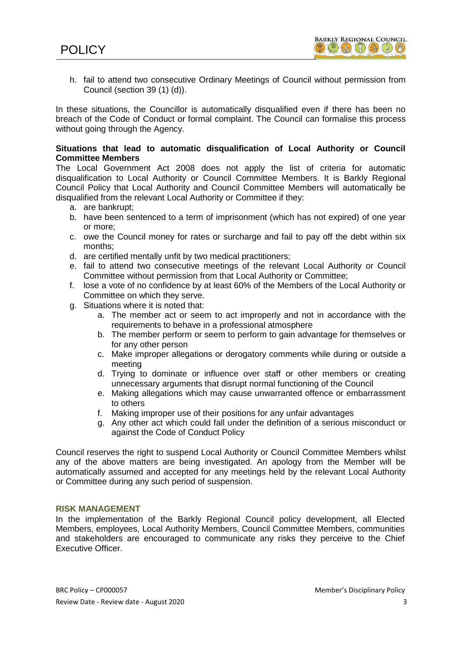h. fail to attend two consecutive Ordinary Meetings of Council without permission from Council (section 39 (1) (d)).

In these situations, the Councillor is automatically disqualified even if there has been no breach of the Code of Conduct or formal complaint. The Council can formalise this process without going through the Agency.

## **Situations that lead to automatic disqualification of Local Authority or Council Committee Members**

The Local Government Act 2008 does not apply the list of criteria for automatic disqualification to Local Authority or Council Committee Members. It is Barkly Regional Council Policy that Local Authority and Council Committee Members will automatically be disqualified from the relevant Local Authority or Committee if they:

- a. are bankrupt;
- b. have been sentenced to a term of imprisonment (which has not expired) of one year or more;
- c. owe the Council money for rates or surcharge and fail to pay off the debt within six months;
- d. are certified mentally unfit by two medical practitioners;
- e. fail to attend two consecutive meetings of the relevant Local Authority or Council Committee without permission from that Local Authority or Committee;
- f. lose a vote of no confidence by at least 60% of the Members of the Local Authority or Committee on which they serve.
- g. Situations where it is noted that:
	- a. The member act or seem to act improperly and not in accordance with the requirements to behave in a professional atmosphere
	- b. The member perform or seem to perform to gain advantage for themselves or for any other person
	- c. Make improper allegations or derogatory comments while during or outside a meeting
	- d. Trying to dominate or influence over staff or other members or creating unnecessary arguments that disrupt normal functioning of the Council
	- e. Making allegations which may cause unwarranted offence or embarrassment to others
	- f. Making improper use of their positions for any unfair advantages
	- g. Any other act which could fall under the definition of a serious misconduct or against the Code of Conduct Policy

Council reserves the right to suspend Local Authority or Council Committee Members whilst any of the above matters are being investigated. An apology from the Member will be automatically assumed and accepted for any meetings held by the relevant Local Authority or Committee during any such period of suspension.

#### **RISK MANAGEMENT**

In the implementation of the Barkly Regional Council policy development, all Elected Members, employees, Local Authority Members, Council Committee Members, communities and stakeholders are encouraged to communicate any risks they perceive to the Chief Executive Officer.